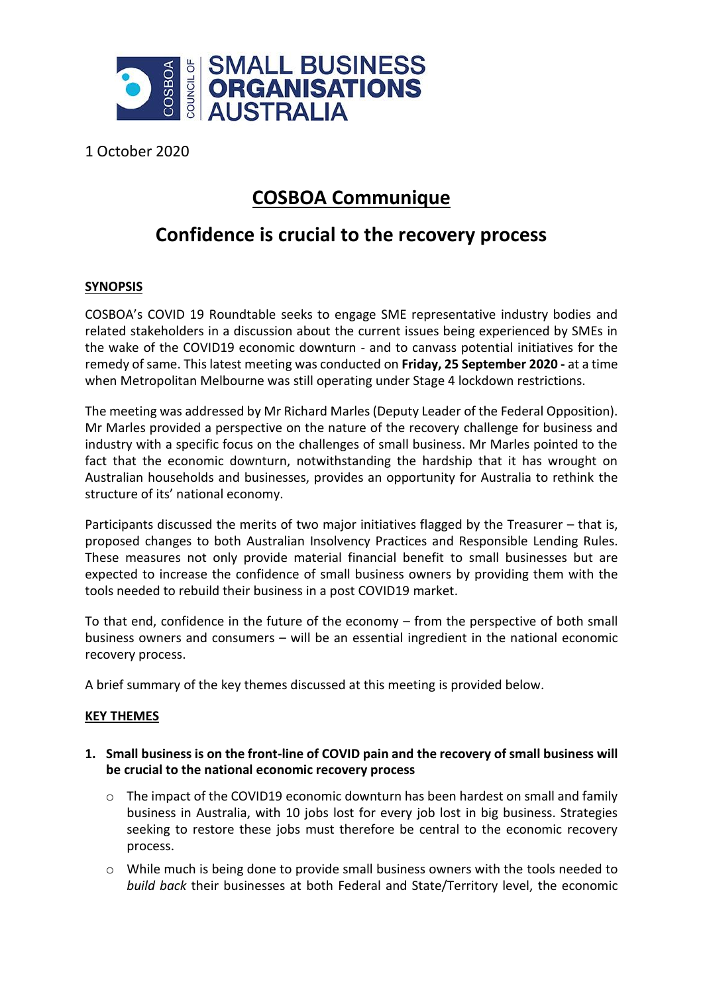

1 October 2020

# **COSBOA Communique**

## **Confidence is crucial to the recovery process**

### **SYNOPSIS**

COSBOA's COVID 19 Roundtable seeks to engage SME representative industry bodies and related stakeholders in a discussion about the current issues being experienced by SMEs in the wake of the COVID19 economic downturn - and to canvass potential initiatives for the remedy of same. This latest meeting was conducted on **Friday, 25 September 2020 -** at a time when Metropolitan Melbourne was still operating under Stage 4 lockdown restrictions.

The meeting was addressed by Mr Richard Marles (Deputy Leader of the Federal Opposition). Mr Marles provided a perspective on the nature of the recovery challenge for business and industry with a specific focus on the challenges of small business. Mr Marles pointed to the fact that the economic downturn, notwithstanding the hardship that it has wrought on Australian households and businesses, provides an opportunity for Australia to rethink the structure of its' national economy.

Participants discussed the merits of two major initiatives flagged by the Treasurer – that is, proposed changes to both Australian Insolvency Practices and Responsible Lending Rules. These measures not only provide material financial benefit to small businesses but are expected to increase the confidence of small business owners by providing them with the tools needed to rebuild their business in a post COVID19 market.

To that end, confidence in the future of the economy – from the perspective of both small business owners and consumers – will be an essential ingredient in the national economic recovery process.

A brief summary of the key themes discussed at this meeting is provided below.

#### **KEY THEMES**

- **1. Small business is on the front-line of COVID pain and the recovery of small business will be crucial to the national economic recovery process**
	- $\circ$  The impact of the COVID19 economic downturn has been hardest on small and family business in Australia, with 10 jobs lost for every job lost in big business. Strategies seeking to restore these jobs must therefore be central to the economic recovery process.
	- $\circ$  While much is being done to provide small business owners with the tools needed to *build back* their businesses at both Federal and State/Territory level, the economic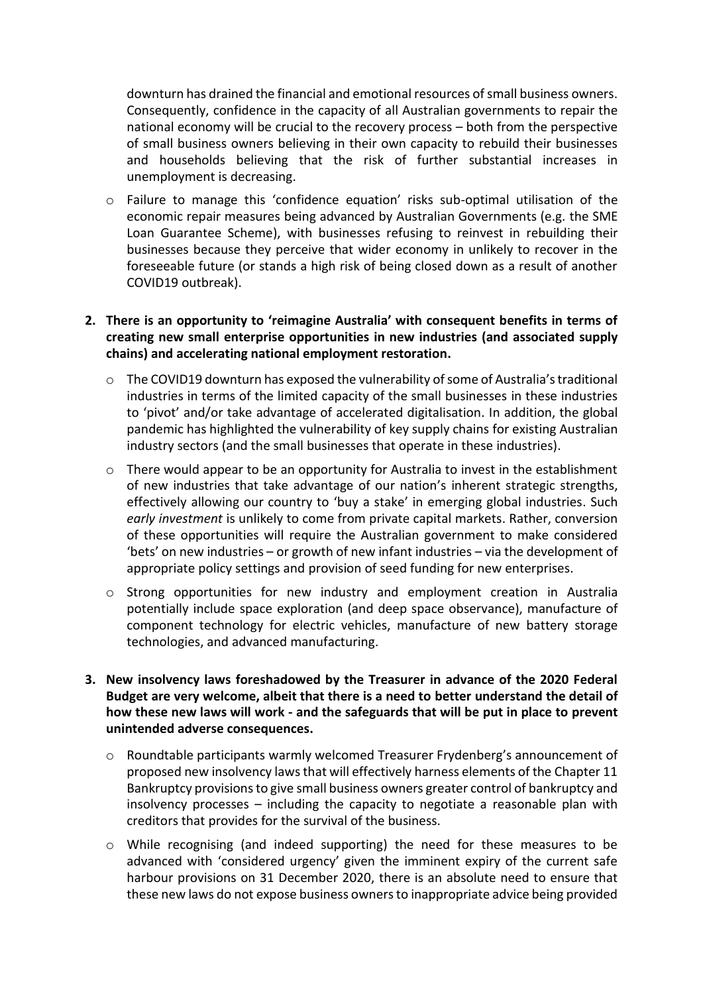downturn has drained the financial and emotional resources of small business owners. Consequently, confidence in the capacity of all Australian governments to repair the national economy will be crucial to the recovery process – both from the perspective of small business owners believing in their own capacity to rebuild their businesses and households believing that the risk of further substantial increases in unemployment is decreasing.

o Failure to manage this 'confidence equation' risks sub-optimal utilisation of the economic repair measures being advanced by Australian Governments (e.g. the SME Loan Guarantee Scheme), with businesses refusing to reinvest in rebuilding their businesses because they perceive that wider economy in unlikely to recover in the foreseeable future (or stands a high risk of being closed down as a result of another COVID19 outbreak).

#### **2. There is an opportunity to 'reimagine Australia' with consequent benefits in terms of creating new small enterprise opportunities in new industries (and associated supply chains) and accelerating national employment restoration.**

- o The COVID19 downturn has exposed the vulnerability of some of Australia's traditional industries in terms of the limited capacity of the small businesses in these industries to 'pivot' and/or take advantage of accelerated digitalisation. In addition, the global pandemic has highlighted the vulnerability of key supply chains for existing Australian industry sectors (and the small businesses that operate in these industries).
- $\circ$  There would appear to be an opportunity for Australia to invest in the establishment of new industries that take advantage of our nation's inherent strategic strengths, effectively allowing our country to 'buy a stake' in emerging global industries. Such *early investment* is unlikely to come from private capital markets. Rather, conversion of these opportunities will require the Australian government to make considered 'bets' on new industries – or growth of new infant industries – via the development of appropriate policy settings and provision of seed funding for new enterprises.
- $\circ$  Strong opportunities for new industry and employment creation in Australia potentially include space exploration (and deep space observance), manufacture of component technology for electric vehicles, manufacture of new battery storage technologies, and advanced manufacturing.
- **3. New insolvency laws foreshadowed by the Treasurer in advance of the 2020 Federal Budget are very welcome, albeit that there is a need to better understand the detail of how these new laws will work - and the safeguards that will be put in place to prevent unintended adverse consequences.**
	- o Roundtable participants warmly welcomed Treasurer Frydenberg's announcement of proposed new insolvency laws that will effectively harness elements of the Chapter 11 Bankruptcy provisions to give small business owners greater control of bankruptcy and insolvency processes – including the capacity to negotiate a reasonable plan with creditors that provides for the survival of the business.
	- o While recognising (and indeed supporting) the need for these measures to be advanced with 'considered urgency' given the imminent expiry of the current safe harbour provisions on 31 December 2020, there is an absolute need to ensure that these new laws do not expose business owners to inappropriate advice being provided